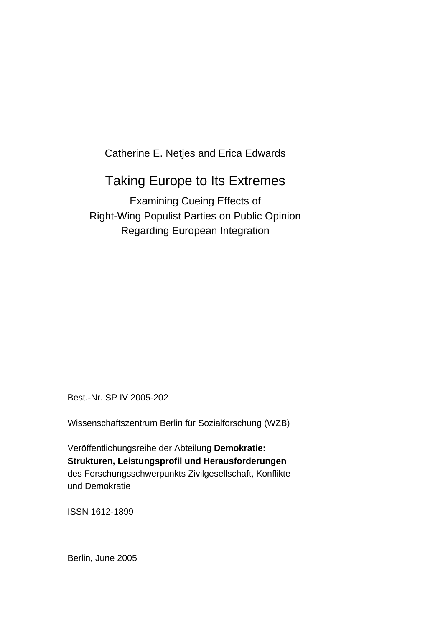Catherine E. Netjes and Erica Edwards

# Taking Europe to Its Extremes

Examining Cueing Effects of Right-Wing Populist Parties on Public Opinion Regarding European Integration

Best.-Nr. SP IV 2005-202

Wissenschaftszentrum Berlin für Sozialforschung (WZB)

Veröffentlichungsreihe der Abteilung **Demokratie: Strukturen, Leistungsprofil und Herausforderungen** des Forschungsschwerpunkts Zivilgesellschaft, Konflikte und Demokratie

ISSN 1612-1899

Berlin, June 2005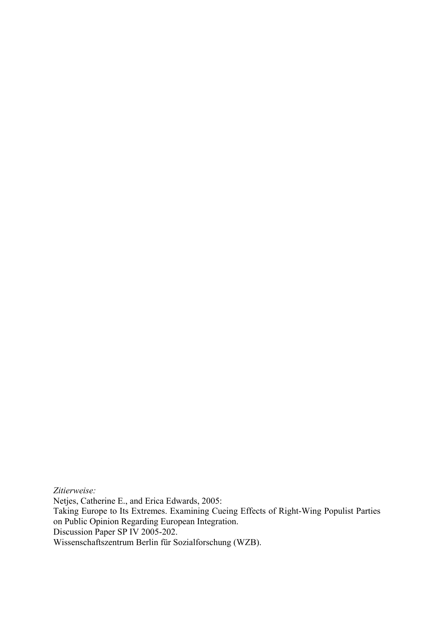*Zitierweise:*

Netjes, Catherine E., and Erica Edwards, 2005:

Taking Europe to Its Extremes. Examining Cueing Effects of Right-Wing Populist Parties on Public Opinion Regarding European Integration. Discussion Paper SP IV 2005-202.

Wissenschaftszentrum Berlin für Sozialforschung (WZB).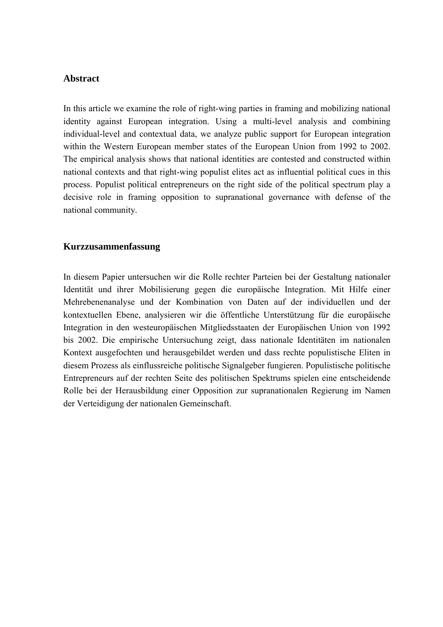### **Abstract**

In this article we examine the role of right-wing parties in framing and mobilizing national identity against European integration. Using a multi-level analysis and combining individual-level and contextual data, we analyze public support for European integration within the Western European member states of the European Union from 1992 to 2002. The empirical analysis shows that national identities are contested and constructed within national contexts and that right-wing populist elites act as influential political cues in this process. Populist political entrepreneurs on the right side of the political spectrum play a decisive role in framing opposition to supranational governance with defense of the national community.

### **Kurzzusammenfassung**

In diesem Papier untersuchen wir die Rolle rechter Parteien bei der Gestaltung nationaler Identität und ihrer Mobilisierung gegen die europäische Integration. Mit Hilfe einer Mehrebenenanalyse und der Kombination von Daten auf der individuellen und der kontextuellen Ebene, analysieren wir die öffentliche Unterstützung für die europäische Integration in den westeuropäischen Mitgliedsstaaten der Europäischen Union von 1992 bis 2002. Die empirische Untersuchung zeigt, dass nationale Identitäten im nationalen Kontext ausgefochten und herausgebildet werden und dass rechte populistische Eliten in diesem Prozess als einflussreiche politische Signalgeber fungieren. Populistische politische Entrepreneurs auf der rechten Seite des politischen Spektrums spielen eine entscheidende Rolle bei der Herausbildung einer Opposition zur supranationalen Regierung im Namen der Verteidigung der nationalen Gemeinschaft.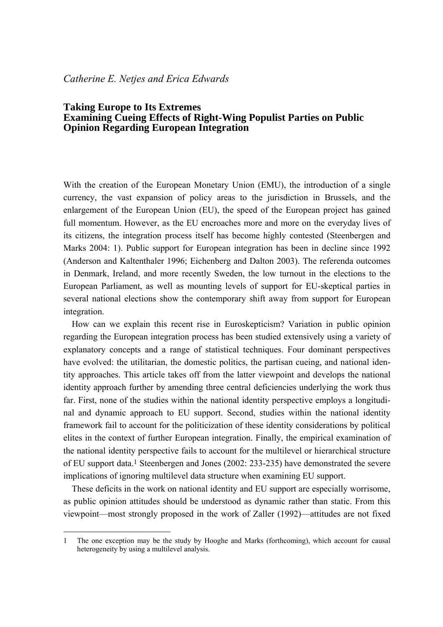### *Catherine E. Netjes and Erica Edwards*

### **Taking Europe to Its Extremes Examining Cueing Effects of Right-Wing Populist Parties on Public Opinion Regarding European Integration**

With the creation of the European Monetary Union (EMU), the introduction of a single currency, the vast expansion of policy areas to the jurisdiction in Brussels, and the enlargement of the European Union (EU), the speed of the European project has gained full momentum. However, as the EU encroaches more and more on the everyday lives of its citizens, the integration process itself has become highly contested (Steenbergen and Marks 2004: 1). Public support for European integration has been in decline since 1992 (Anderson and Kaltenthaler 1996; Eichenberg and Dalton 2003). The referenda outcomes in Denmark, Ireland, and more recently Sweden, the low turnout in the elections to the European Parliament, as well as mounting levels of support for EU-skeptical parties in several national elections show the contemporary shift away from support for European integration.

How can we explain this recent rise in Euroskepticism? Variation in public opinion regarding the European integration process has been studied extensively using a variety of explanatory concepts and a range of statistical techniques. Four dominant perspectives have evolved: the utilitarian, the domestic politics, the partisan cueing, and national identity approaches. This article takes off from the latter viewpoint and develops the national identity approach further by amending three central deficiencies underlying the work thus far. First, none of the studies within the national identity perspective employs a longitudinal and dynamic approach to EU support. Second, studies within the national identity framework fail to account for the politicization of these identity considerations by political elites in the context of further European integration. Finally, the empirical examination of the national identity perspective fails to account for the multilevel or hierarchical structure of EU support data[.1](#page-4-0) Steenbergen and Jones (2002: 233-235) have demonstrated the severe implications of ignoring multilevel data structure when examining EU support.

These deficits in the work on national identity and EU support are especially worrisome, as public opinion attitudes should be understood as dynamic rather than static. From this viewpoint—most strongly proposed in the work of Zaller (1992)—attitudes are not fixed

<span id="page-4-0"></span><sup>1</sup> The one exception may be the study by Hooghe and Marks (forthcoming), which account for causal heterogeneity by using a multilevel analysis.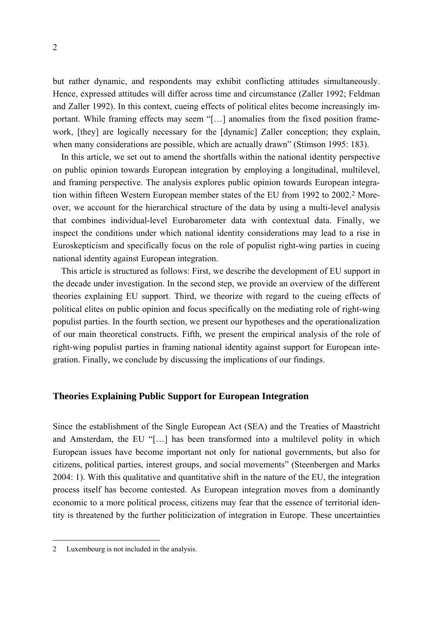but rather dynamic, and respondents may exhibit conflicting attitudes simultaneously. Hence, expressed attitudes will differ across time and circumstance (Zaller 1992; Feldman and Zaller 1992). In this context, cueing effects of political elites become increasingly important. While framing effects may seem "[…] anomalies from the fixed position framework, [they] are logically necessary for the [dynamic] Zaller conception; they explain, when many considerations are possible, which are actually drawn" (Stimson 1995: 183).

In this article, we set out to amend the shortfalls within the national identity perspective on public opinion towards European integration by employing a longitudinal, multilevel, and framing perspective. The analysis explores public opinion towards European integration within fifteen Western European member states of the EU from 1992 to 2002[.2](#page-5-0) Moreover, we account for the hierarchical structure of the data by using a multi-level analysis that combines individual-level Eurobarometer data with contextual data. Finally, we inspect the conditions under which national identity considerations may lead to a rise in Euroskepticism and specifically focus on the role of populist right-wing parties in cueing national identity against European integration.

This article is structured as follows: First, we describe the development of EU support in the decade under investigation. In the second step, we provide an overview of the different theories explaining EU support. Third, we theorize with regard to the cueing effects of political elites on public opinion and focus specifically on the mediating role of right-wing populist parties. In the fourth section, we present our hypotheses and the operationalization of our main theoretical constructs. Fifth, we present the empirical analysis of the role of right-wing populist parties in framing national identity against support for European integration. Finally, we conclude by discussing the implications of our findings.

### **Theories Explaining Public Support for European Integration**

Since the establishment of the Single European Act (SEA) and the Treaties of Maastricht and Amsterdam, the EU "[…] has been transformed into a multilevel polity in which European issues have become important not only for national governments, but also for citizens, political parties, interest groups, and social movements" (Steenbergen and Marks 2004: 1). With this qualitative and quantitative shift in the nature of the EU, the integration process itself has become contested. As European integration moves from a dominantly economic to a more political process, citizens may fear that the essence of territorial identity is threatened by the further politicization of integration in Europe. These uncertainties

<span id="page-5-0"></span><sup>2</sup> Luxembourg is not included in the analysis.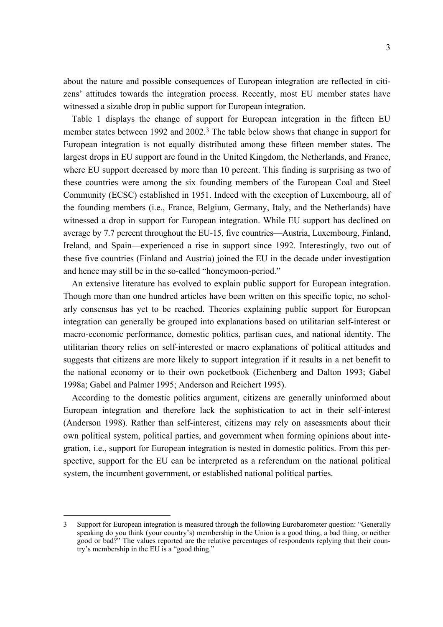about the nature and possible consequences of European integration are reflected in citizens' attitudes towards the integration process. Recently, most EU member states have witnessed a sizable drop in public support for European integration.

Table 1 displays the change of support for European integration in the fifteen EU member states between 1992 and 2002.<sup>3</sup> The table below shows that change in support for European integration is not equally distributed among these fifteen member states. The largest drops in EU support are found in the United Kingdom, the Netherlands, and France, where EU support decreased by more than 10 percent. This finding is surprising as two of these countries were among the six founding members of the European Coal and Steel Community (ECSC) established in 1951. Indeed with the exception of Luxembourg, all of the founding members (i.e., France, Belgium, Germany, Italy, and the Netherlands) have witnessed a drop in support for European integration. While EU support has declined on average by 7.7 percent throughout the EU-15, five countries—Austria, Luxembourg, Finland, Ireland, and Spain—experienced a rise in support since 1992. Interestingly, two out of these five countries (Finland and Austria) joined the EU in the decade under investigation and hence may still be in the so-called "honeymoon-period."

An extensive literature has evolved to explain public support for European integration. Though more than one hundred articles have been written on this specific topic, no scholarly consensus has yet to be reached. Theories explaining public support for European integration can generally be grouped into explanations based on utilitarian self-interest or macro-economic performance, domestic politics, partisan cues, and national identity. The utilitarian theory relies on self-interested or macro explanations of political attitudes and suggests that citizens are more likely to support integration if it results in a net benefit to the national economy or to their own pocketbook (Eichenberg and Dalton 1993; Gabel 1998a; Gabel and Palmer 1995; Anderson and Reichert 1995).

According to the domestic politics argument, citizens are generally uninformed about European integration and therefore lack the sophistication to act in their self-interest (Anderson 1998). Rather than self-interest, citizens may rely on assessments about their own political system, political parties, and government when forming opinions about integration, i.e., support for European integration is nested in domestic politics. From this perspective, support for the EU can be interpreted as a referendum on the national political system, the incumbent government, or established national political parties.

<span id="page-6-0"></span><sup>3</sup> Support for European integration is measured through the following Eurobarometer question: "Generally speaking do you think (your country's) membership in the Union is a good thing, a bad thing, or neither good or bad?" The values reported are the relative percentages of respondents replying that their country's membership in the EU is a "good thing."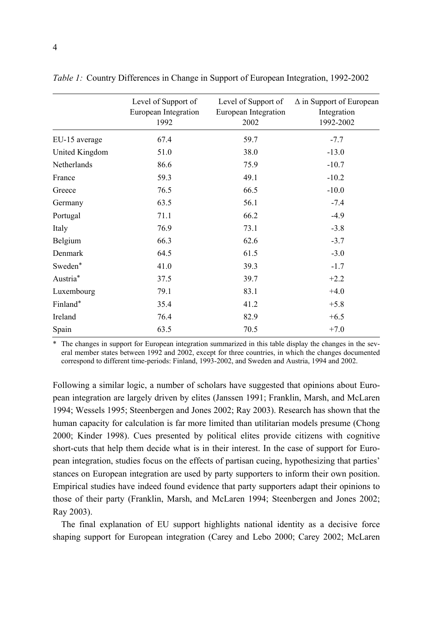|                | Level of Support of<br>European Integration<br>1992 | Level of Support of<br>European Integration<br>2002 | $\Delta$ in Support of European<br>Integration<br>1992-2002 |
|----------------|-----------------------------------------------------|-----------------------------------------------------|-------------------------------------------------------------|
| EU-15 average  | 67.4                                                | 59.7                                                | $-7.7$                                                      |
| United Kingdom | 51.0                                                | 38.0                                                | $-13.0$                                                     |
| Netherlands    | 86.6                                                | 75.9                                                | $-10.7$                                                     |
| France         | 59.3                                                | 49.1                                                | $-10.2$                                                     |
| Greece         | 76.5                                                | 66.5                                                | $-10.0$                                                     |
| Germany        | 63.5                                                | 56.1                                                | $-7.4$                                                      |
| Portugal       | 71.1                                                | 66.2                                                | $-4.9$                                                      |
| Italy          | 76.9                                                | 73.1                                                | $-3.8$                                                      |
| Belgium        | 66.3                                                | 62.6                                                | $-3.7$                                                      |
| Denmark        | 64.5                                                | 61.5                                                | $-3.0$                                                      |
| Sweden*        | 41.0                                                | 39.3                                                | $-1.7$                                                      |
| Austria*       | 37.5                                                | 39.7                                                | $+2.2$                                                      |
| Luxembourg     | 79.1                                                | 83.1                                                | $+4.0$                                                      |
| Finland*       | 35.4                                                | 41.2                                                | $+5.8$                                                      |
| Ireland        | 76.4                                                | 82.9                                                | $+6.5$                                                      |
| Spain          | 63.5                                                | 70.5                                                | $+7.0$                                                      |

*Table 1:* Country Differences in Change in Support of European Integration, 1992-2002

\* The changes in support for European integration summarized in this table display the changes in the several member states between 1992 and 2002, except for three countries, in which the changes documented correspond to different time-periods: Finland, 1993-2002, and Sweden and Austria, 1994 and 2002.

Following a similar logic, a number of scholars have suggested that opinions about European integration are largely driven by elites (Janssen 1991; Franklin, Marsh, and McLaren 1994; Wessels 1995; Steenbergen and Jones 2002; Ray 2003). Research has shown that the human capacity for calculation is far more limited than utilitarian models presume (Chong 2000; Kinder 1998). Cues presented by political elites provide citizens with cognitive short-cuts that help them decide what is in their interest. In the case of support for European integration, studies focus on the effects of partisan cueing, hypothesizing that parties' stances on European integration are used by party supporters to inform their own position. Empirical studies have indeed found evidence that party supporters adapt their opinions to those of their party (Franklin, Marsh, and McLaren 1994; Steenbergen and Jones 2002; Ray 2003).

The final explanation of EU support highlights national identity as a decisive force shaping support for European integration (Carey and Lebo 2000; Carey 2002; McLaren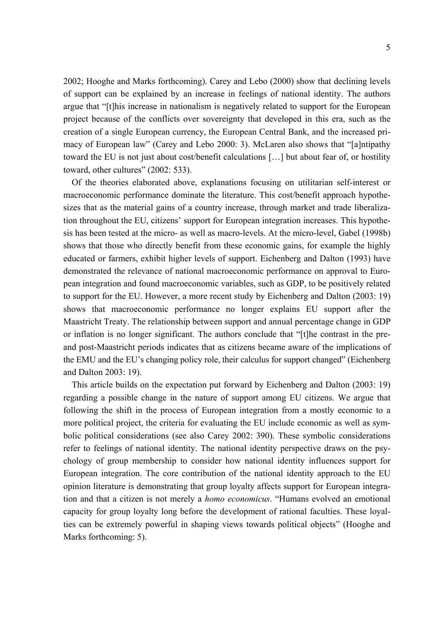2002; Hooghe and Marks forthcoming). Carey and Lebo (2000) show that declining levels of support can be explained by an increase in feelings of national identity. The authors argue that "[t]his increase in nationalism is negatively related to support for the European project because of the conflicts over sovereignty that developed in this era, such as the creation of a single European currency, the European Central Bank, and the increased primacy of European law" (Carey and Lebo 2000: 3). McLaren also shows that "[a]ntipathy toward the EU is not just about cost/benefit calculations […] but about fear of, or hostility toward, other cultures" (2002: 533).

Of the theories elaborated above, explanations focusing on utilitarian self-interest or macroeconomic performance dominate the literature. This cost/benefit approach hypothesizes that as the material gains of a country increase, through market and trade liberalization throughout the EU, citizens' support for European integration increases. This hypothesis has been tested at the micro- as well as macro-levels. At the micro-level, Gabel (1998b) shows that those who directly benefit from these economic gains, for example the highly educated or farmers, exhibit higher levels of support. Eichenberg and Dalton (1993) have demonstrated the relevance of national macroeconomic performance on approval to European integration and found macroeconomic variables, such as GDP, to be positively related to support for the EU. However, a more recent study by Eichenberg and Dalton (2003: 19) shows that macroeconomic performance no longer explains EU support after the Maastricht Treaty. The relationship between support and annual percentage change in GDP or inflation is no longer significant. The authors conclude that "[t]he contrast in the preand post-Maastricht periods indicates that as citizens became aware of the implications of the EMU and the EU's changing policy role, their calculus for support changed" (Eichenberg and Dalton 2003: 19).

This article builds on the expectation put forward by Eichenberg and Dalton (2003: 19) regarding a possible change in the nature of support among EU citizens. We argue that following the shift in the process of European integration from a mostly economic to a more political project, the criteria for evaluating the EU include economic as well as symbolic political considerations (see also Carey 2002: 390). These symbolic considerations refer to feelings of national identity. The national identity perspective draws on the psychology of group membership to consider how national identity influences support for European integration. The core contribution of the national identity approach to the EU opinion literature is demonstrating that group loyalty affects support for European integration and that a citizen is not merely a *homo economicus*. "Humans evolved an emotional capacity for group loyalty long before the development of rational faculties. These loyalties can be extremely powerful in shaping views towards political objects" (Hooghe and Marks forthcoming: 5).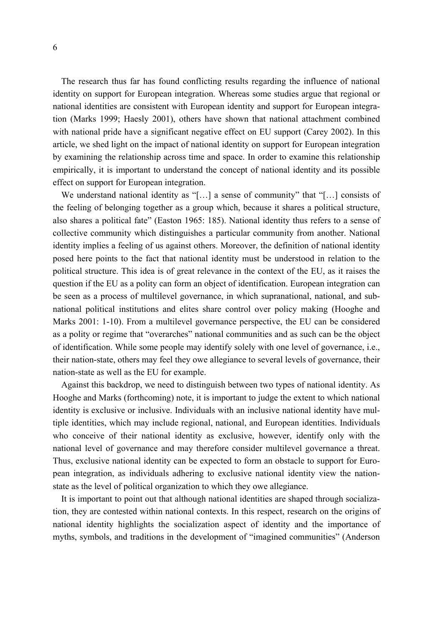The research thus far has found conflicting results regarding the influence of national identity on support for European integration. Whereas some studies argue that regional or national identities are consistent with European identity and support for European integration (Marks 1999; Haesly 2001), others have shown that national attachment combined with national pride have a significant negative effect on EU support (Carey 2002). In this article, we shed light on the impact of national identity on support for European integration by examining the relationship across time and space. In order to examine this relationship empirically, it is important to understand the concept of national identity and its possible effect on support for European integration.

We understand national identity as "[...] a sense of community" that "[...] consists of the feeling of belonging together as a group which, because it shares a political structure, also shares a political fate" (Easton 1965: 185). National identity thus refers to a sense of collective community which distinguishes a particular community from another. National identity implies a feeling of us against others. Moreover, the definition of national identity posed here points to the fact that national identity must be understood in relation to the political structure. This idea is of great relevance in the context of the EU, as it raises the question if the EU as a polity can form an object of identification. European integration can be seen as a process of multilevel governance, in which supranational, national, and subnational political institutions and elites share control over policy making (Hooghe and Marks 2001: 1-10). From a multilevel governance perspective, the EU can be considered as a polity or regime that "overarches" national communities and as such can be the object of identification. While some people may identify solely with one level of governance, i.e., their nation-state, others may feel they owe allegiance to several levels of governance, their nation-state as well as the EU for example.

Against this backdrop, we need to distinguish between two types of national identity. As Hooghe and Marks (forthcoming) note, it is important to judge the extent to which national identity is exclusive or inclusive. Individuals with an inclusive national identity have multiple identities, which may include regional, national, and European identities. Individuals who conceive of their national identity as exclusive, however, identify only with the national level of governance and may therefore consider multilevel governance a threat. Thus, exclusive national identity can be expected to form an obstacle to support for European integration, as individuals adhering to exclusive national identity view the nationstate as the level of political organization to which they owe allegiance.

It is important to point out that although national identities are shaped through socialization, they are contested within national contexts. In this respect, research on the origins of national identity highlights the socialization aspect of identity and the importance of myths, symbols, and traditions in the development of "imagined communities" (Anderson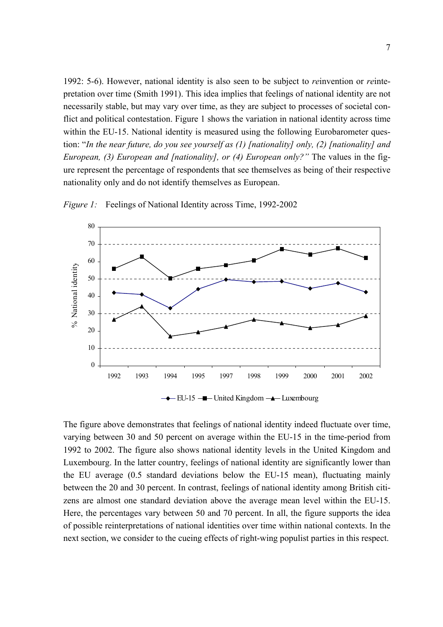1992: 5-6). However, national identity is also seen to be subject to *re*invention or *re*intepretation over time (Smith 1991). This idea implies that feelings of national identity are not necessarily stable, but may vary over time, as they are subject to processes of societal conflict and political contestation. Figure 1 shows the variation in national identity across time within the EU-15. National identity is measured using the following Eurobarometer question: "*In the near future, do you see yourself as (1) [nationality] only, (2) [nationality] and European, (3) European and [nationality], or (4) European only?"* The values in the figure represent the percentage of respondents that see themselves as being of their respective nationality only and do not identify themselves as European.



*Figure 1:* Feelings of National Identity across Time, 1992-2002

The figure above demonstrates that feelings of national identity indeed fluctuate over time, varying between 30 and 50 percent on average within the EU-15 in the time-period from 1992 to 2002. The figure also shows national identity levels in the United Kingdom and Luxembourg. In the latter country, feelings of national identity are significantly lower than the EU average (0.5 standard deviations below the EU-15 mean), fluctuating mainly between the 20 and 30 percent. In contrast, feelings of national identity among British citizens are almost one standard deviation above the average mean level within the EU-15. Here, the percentages vary between 50 and 70 percent. In all, the figure supports the idea of possible reinterpretations of national identities over time within national contexts. In the next section, we consider to the cueing effects of right-wing populist parties in this respect.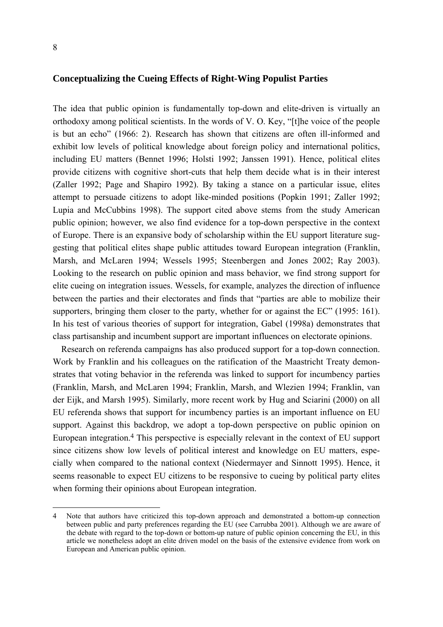### **Conceptualizing the Cueing Effects of Right-Wing Populist Parties**

The idea that public opinion is fundamentally top-down and elite-driven is virtually an orthodoxy among political scientists. In the words of V. O. Key, "[t]he voice of the people is but an echo" (1966: 2). Research has shown that citizens are often ill-informed and exhibit low levels of political knowledge about foreign policy and international politics, including EU matters (Bennet 1996; Holsti 1992; Janssen 1991). Hence, political elites provide citizens with cognitive short-cuts that help them decide what is in their interest (Zaller 1992; Page and Shapiro 1992). By taking a stance on a particular issue, elites attempt to persuade citizens to adopt like-minded positions (Popkin 1991; Zaller 1992; Lupia and McCubbins 1998). The support cited above stems from the study American public opinion; however, we also find evidence for a top-down perspective in the context of Europe. There is an expansive body of scholarship within the EU support literature suggesting that political elites shape public attitudes toward European integration (Franklin, Marsh, and McLaren 1994; Wessels 1995; Steenbergen and Jones 2002; Ray 2003). Looking to the research on public opinion and mass behavior, we find strong support for elite cueing on integration issues. Wessels, for example, analyzes the direction of influence between the parties and their electorates and finds that "parties are able to mobilize their supporters, bringing them closer to the party, whether for or against the EC" (1995: 161). In his test of various theories of support for integration, Gabel (1998a) demonstrates that class partisanship and incumbent support are important influences on electorate opinions.

Research on referenda campaigns has also produced support for a top-down connection. Work by Franklin and his colleagues on the ratification of the Maastricht Treaty demonstrates that voting behavior in the referenda was linked to support for incumbency parties (Franklin, Marsh, and McLaren 1994; Franklin, Marsh, and Wlezien 1994; Franklin, van der Eijk, and Marsh 1995). Similarly, more recent work by Hug and Sciarini (2000) on all EU referenda shows that support for incumbency parties is an important influence on EU support. Against this backdrop, we adopt a top-down perspective on public opinion on European integration[.4](#page-11-0) This perspective is especially relevant in the context of EU support since citizens show low levels of political interest and knowledge on EU matters, especially when compared to the national context (Niedermayer and Sinnott 1995). Hence, it seems reasonable to expect EU citizens to be responsive to cueing by political party elites when forming their opinions about European integration.

<span id="page-11-0"></span><sup>4</sup> Note that authors have criticized this top-down approach and demonstrated a bottom-up connection between public and party preferences regarding the EU (see Carrubba 2001). Although we are aware of the debate with regard to the top-down or bottom-up nature of public opinion concerning the EU, in this article we nonetheless adopt an elite driven model on the basis of the extensive evidence from work on European and American public opinion.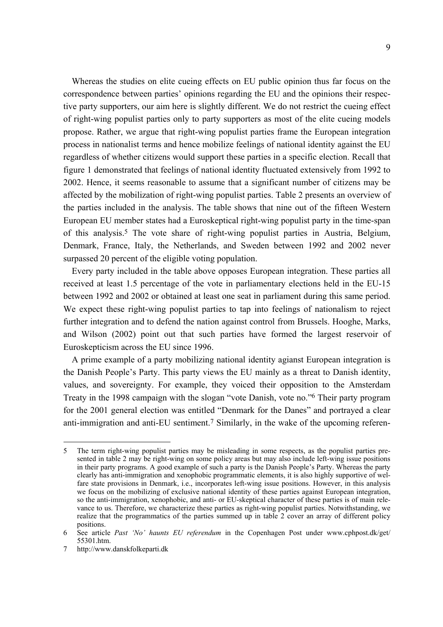Whereas the studies on elite cueing effects on EU public opinion thus far focus on the correspondence between parties' opinions regarding the EU and the opinions their respective party supporters, our aim here is slightly different. We do not restrict the cueing effect of right-wing populist parties only to party supporters as most of the elite cueing models propose. Rather, we argue that right-wing populist parties frame the European integration process in nationalist terms and hence mobilize feelings of national identity against the EU regardless of whether citizens would support these parties in a specific election. Recall that figure 1 demonstrated that feelings of national identity fluctuated extensively from 1992 to 2002. Hence, it seems reasonable to assume that a significant number of citizens may be affected by the mobilization of right-wing populist parties. Table 2 presents an overview of the parties included in the analysis. The table shows that nine out of the fifteen Western European EU member states had a Euroskeptical right-wing populist party in the time-span of this analysis[.5](#page-12-0) The vote share of right-wing populist parties in Austria, Belgium, Denmark, France, Italy, the Netherlands, and Sweden between 1992 and 2002 never surpassed 20 percent of the eligible voting population.

Every party included in the table above opposes European integration. These parties all received at least 1.5 percentage of the vote in parliamentary elections held in the EU-15 between 1992 and 2002 or obtained at least one seat in parliament during this same period. We expect these right-wing populist parties to tap into feelings of nationalism to reject further integration and to defend the nation against control from Brussels. Hooghe, Marks, and Wilson (2002) point out that such parties have formed the largest reservoir of Euroskepticism across the EU since 1996.

A prime example of a party mobilizing national identity agianst European integration is the Danish People's Party. This party views the EU mainly as a threat to Danish identity, values, and sovereignty. For example, they voiced their opposition to the Amsterdam Treaty in the 1998 campaign with the slogan "vote Danish, vote no."[6](#page-12-1) Their party program for the 2001 general election was entitled "Denmark for the Danes" and portrayed a clear anti-immigration and anti-EU sentiment.[7](#page-12-2) Similarly, in the wake of the upcoming referen-

<span id="page-12-0"></span><sup>5</sup> The term right-wing populist parties may be misleading in some respects, as the populist parties presented in table 2 may be right-wing on some policy areas but may also include left-wing issue positions in their party programs. A good example of such a party is the Danish People's Party. Whereas the party clearly has anti-immigration and xenophobic programmatic elements, it is also highly supportive of welfare state provisions in Denmark, i.e., incorporates left-wing issue positions. However, in this analysis we focus on the mobilizing of exclusive national identity of these parties against European integration, so the anti-immigration, xenophobic, and anti- or EU-skeptical character of these parties is of main relevance to us. Therefore, we characterize these parties as right-wing populist parties. Notwithstanding, we realize that the programmatics of the parties summed up in table 2 cover an array of different policy positions.

<span id="page-12-1"></span><sup>6</sup> See article *Past 'No' haunts EU referendum* in the Copenhagen Post under www.cphpost.dk/get/ 55301.htm.

<span id="page-12-2"></span><sup>7</sup> http://www.danskfolkeparti.dk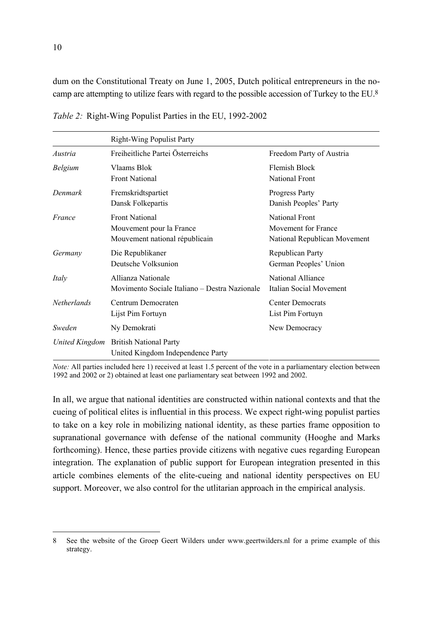dum on the Constitutional Treaty on June 1, 2005, Dutch political entrepreneurs in the nocamp are attempting to utilize fears with regard to the possible accession of Turkey to the EU[.8](#page-13-0) 

|                    | <b>Right-Wing Populist Party</b>                                                    |                                                                       |
|--------------------|-------------------------------------------------------------------------------------|-----------------------------------------------------------------------|
| Austria            | Freiheitliche Partei Österreichs                                                    | Freedom Party of Austria                                              |
| Belgium            | Vlaams Blok<br><b>Front National</b>                                                | Flemish Block<br><b>National Front</b>                                |
| Denmark            | Fremskridtspartiet<br>Dansk Folkepartis                                             | Progress Party<br>Danish Peoples' Party                               |
| France             | <b>Front National</b><br>Mouvement pour la France<br>Mouvement national républicain | National Front<br>Movement for France<br>National Republican Movement |
| Germany            | Die Republikaner<br>Deutsche Volksunion                                             | Republican Party<br>German Peoples' Union                             |
| Italy              | Allianza Nationale<br>Movimento Sociale Italiano - Destra Nazionale                 | National Alliance<br>Italian Social Movement                          |
| <b>Netherlands</b> | Centrum Democraten<br>Lijst Pim Fortuyn                                             | <b>Center Democrats</b><br>List Pim Fortuyn                           |
| Sweden             | Ny Demokrati                                                                        | New Democracy                                                         |
| United Kingdom     | <b>British National Party</b><br>United Kingdom Independence Party                  |                                                                       |

*Table 2:* Right-Wing Populist Parties in the EU, 1992-2002

*Note:* All parties included here 1) received at least 1.5 percent of the vote in a parliamentary election between 1992 and 2002 or 2) obtained at least one parliamentary seat between 1992 and 2002.

In all, we argue that national identities are constructed within national contexts and that the cueing of political elites is influential in this process. We expect right-wing populist parties to take on a key role in mobilizing national identity, as these parties frame opposition to supranational governance with defense of the national community (Hooghe and Marks forthcoming). Hence, these parties provide citizens with negative cues regarding European integration. The explanation of public support for European integration presented in this article combines elements of the elite-cueing and national identity perspectives on EU support. Moreover, we also control for the utlitarian approach in the empirical analysis.

<span id="page-13-0"></span><sup>8</sup> See the website of the Groep Geert Wilders under [www.geertwilders.nl](http://www.geertwilders.nl/) for a prime example of this strategy.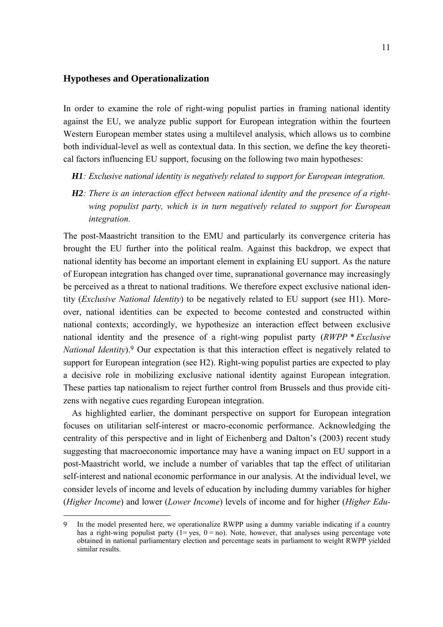### **Hypotheses and Operationalization**

 $\overline{a}$ 

In order to examine the role of right-wing populist parties in framing national identity against the EU, we analyze public support for European integration within the fourteen Western European member states using a multilevel analysis, which allows us to combine both individual-level as well as contextual data. In this section, we define the key theoretical factors influencing EU support, focusing on the following two main hypotheses:

- *H1: Exclusive national identity is negatively related to support for European integration.*
- *H2: There is an interaction effect between national identity and the presence of a rightwing populist party, which is in turn negatively related to support for European integration.*

The post-Maastricht transition to the EMU and particularly its convergence criteria has brought the EU further into the political realm. Against this backdrop, we expect that national identity has become an important element in explaining EU support. As the nature of European integration has changed over time, supranational governance may increasingly be perceived as a threat to national traditions. We therefore expect exclusive national identity (*Exclusive National Identity*) to be negatively related to EU support (see H1). Moreover, national identities can be expected to become contested and constructed within national contexts; accordingly, we hypothesize an interaction effect between exclusive national identity and the presence of a right-wing populist party (*RWPP \* Exclusive National Identity*).<sup>9</sup> Our expectation is that this interaction effect is negatively related to support for European integration (see H2). Right-wing populist parties are expected to play a decisive role in mobilizing exclusive national identity against European integration. These parties tap nationalism to reject further control from Brussels and thus provide citizens with negative cues regarding European integration.

As highlighted earlier, the dominant perspective on support for European integration focuses on utilitarian self-interest or macro-economic performance. Acknowledging the centrality of this perspective and in light of Eichenberg and Dalton's (2003) recent study suggesting that macroeconomic importance may have a waning impact on EU support in a post-Maastricht world, we include a number of variables that tap the effect of utilitarian self-interest and national economic performance in our analysis. At the individual level, we consider levels of income and levels of education by including dummy variables for higher (*Higher Income*) and lower (*Lower Income*) levels of income and for higher (*Higher Edu-*

<span id="page-14-0"></span><sup>9</sup> In the model presented here, we operationalize RWPP using a dummy variable indicating if a country has a right-wing populist party ( $1 = yes$ ,  $0 = no$ ). Note, however, that analyses using percentage vote obtained in national parliamentary election and percentage seats in parliament to weight RWPP yielded similar results.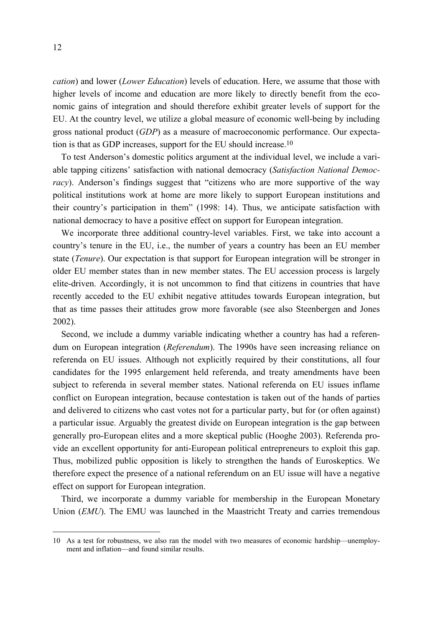*cation*) and lower (*Lower Education*) levels of education. Here, we assume that those with higher levels of income and education are more likely to directly benefit from the economic gains of integration and should therefore exhibit greater levels of support for the EU. At the country level, we utilize a global measure of economic well-being by including gross national product (*GDP*) as a measure of macroeconomic performance. Our expectation is that as GDP increases, support for the EU should increase.[10](#page-15-0)

To test Anderson's domestic politics argument at the individual level, we include a variable tapping citizens' satisfaction with national democracy (*Satisfaction National Democracy*). Anderson's findings suggest that "citizens who are more supportive of the way political institutions work at home are more likely to support European institutions and their country's participation in them" (1998: 14). Thus, we anticipate satisfaction with national democracy to have a positive effect on support for European integration.

We incorporate three additional country-level variables. First, we take into account a country's tenure in the EU, i.e., the number of years a country has been an EU member state (*Tenure*). Our expectation is that support for European integration will be stronger in older EU member states than in new member states. The EU accession process is largely elite-driven. Accordingly, it is not uncommon to find that citizens in countries that have recently acceded to the EU exhibit negative attitudes towards European integration, but that as time passes their attitudes grow more favorable (see also Steenbergen and Jones 2002).

Second, we include a dummy variable indicating whether a country has had a referendum on European integration (*Referendum*). The 1990s have seen increasing reliance on referenda on EU issues. Although not explicitly required by their constitutions, all four candidates for the 1995 enlargement held referenda, and treaty amendments have been subject to referenda in several member states. National referenda on EU issues inflame conflict on European integration, because contestation is taken out of the hands of parties and delivered to citizens who cast votes not for a particular party, but for (or often against) a particular issue. Arguably the greatest divide on European integration is the gap between generally pro-European elites and a more skeptical public (Hooghe 2003). Referenda provide an excellent opportunity for anti-European political entrepreneurs to exploit this gap. Thus, mobilized public opposition is likely to strengthen the hands of Euroskeptics. We therefore expect the presence of a national referendum on an EU issue will have a negative effect on support for European integration.

Third, we incorporate a dummy variable for membership in the European Monetary Union (*EMU*). The EMU was launched in the Maastricht Treaty and carries tremendous

<span id="page-15-0"></span><sup>10</sup> As a test for robustness, we also ran the model with two measures of economic hardship—unemployment and inflation—and found similar results.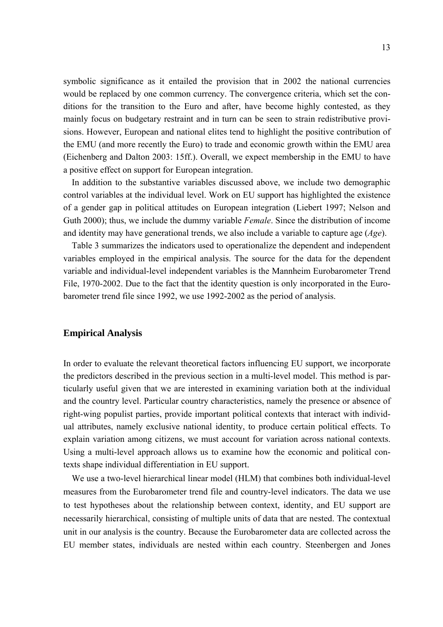symbolic significance as it entailed the provision that in 2002 the national currencies would be replaced by one common currency. The convergence criteria, which set the conditions for the transition to the Euro and after, have become highly contested, as they mainly focus on budgetary restraint and in turn can be seen to strain redistributive provisions. However, European and national elites tend to highlight the positive contribution of the EMU (and more recently the Euro) to trade and economic growth within the EMU area (Eichenberg and Dalton 2003: 15ff.). Overall, we expect membership in the EMU to have a positive effect on support for European integration.

In addition to the substantive variables discussed above, we include two demographic control variables at the individual level. Work on EU support has highlighted the existence of a gender gap in political attitudes on European integration (Liebert 1997; Nelson and Guth 2000); thus, we include the dummy variable *Female*. Since the distribution of income and identity may have generational trends, we also include a variable to capture age (*Age*).

Table 3 summarizes the indicators used to operationalize the dependent and independent variables employed in the empirical analysis. The source for the data for the dependent variable and individual-level independent variables is the Mannheim Eurobarometer Trend File, 1970-2002. Due to the fact that the identity question is only incorporated in the Eurobarometer trend file since 1992, we use 1992-2002 as the period of analysis.

### **Empirical Analysis**

In order to evaluate the relevant theoretical factors influencing EU support, we incorporate the predictors described in the previous section in a multi-level model. This method is particularly useful given that we are interested in examining variation both at the individual and the country level. Particular country characteristics, namely the presence or absence of right-wing populist parties, provide important political contexts that interact with individual attributes, namely exclusive national identity, to produce certain political effects. To explain variation among citizens, we must account for variation across national contexts. Using a multi-level approach allows us to examine how the economic and political contexts shape individual differentiation in EU support.

We use a two-level hierarchical linear model (HLM) that combines both individual-level measures from the Eurobarometer trend file and country-level indicators. The data we use to test hypotheses about the relationship between context, identity, and EU support are necessarily hierarchical, consisting of multiple units of data that are nested. The contextual unit in our analysis is the country. Because the Eurobarometer data are collected across the EU member states, individuals are nested within each country. Steenbergen and Jones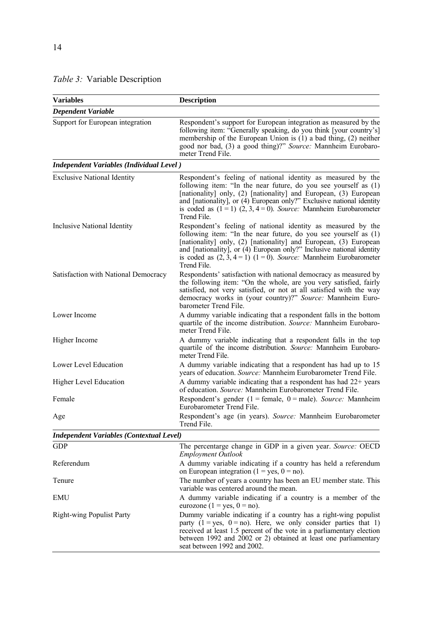| <b>Variables</b>                                | <b>Description</b>                                                                                                                                                                                                                                                                                                                                                          |
|-------------------------------------------------|-----------------------------------------------------------------------------------------------------------------------------------------------------------------------------------------------------------------------------------------------------------------------------------------------------------------------------------------------------------------------------|
| <b>Dependent Variable</b>                       |                                                                                                                                                                                                                                                                                                                                                                             |
| Support for European integration                | Respondent's support for European integration as measured by the<br>following item: "Generally speaking, do you think [your country's]<br>membership of the European Union is (1) a bad thing, (2) neither<br>good nor bad, (3) a good thing)?" Source: Mannheim Eurobaro-<br>meter Trend File.                                                                             |
| <b>Independent Variables (Individual Level)</b> |                                                                                                                                                                                                                                                                                                                                                                             |
| <b>Exclusive National Identity</b>              | Respondent's feeling of national identity as measured by the<br>following item: "In the near future, do you see yourself as (1)<br>[nationality] only, (2) [nationality] and European, (3) European<br>and [nationality], or (4) European only?" Exclusive national identity<br>is coded as $(1 = 1)$ $(2, 3, 4 = 0)$ . Source: Mannheim Eurobarometer<br>Trend File.       |
| Inclusive National Identity                     | Respondent's feeling of national identity as measured by the<br>following item: "In the near future, do you see yourself as (1)<br>[nationality] only, (2) [nationality] and European, (3) European<br>and [nationality], or (4) European only?" Inclusive national identity<br>is coded as $(2, 3, 4 = 1)$ $(1 = 0)$ . Source: Mannheim Eurobarometer<br><b>Trend File</b> |
| Satisfaction with National Democracy            | Respondents' satisfaction with national democracy as measured by<br>the following item: "On the whole, are you very satisfied, fairly<br>satisfied, not very satisfied, or not at all satisfied with the way<br>democracy works in (your country)?" Source: Mannheim Euro-<br>barometer Trend File.                                                                         |
| Lower Income                                    | A dummy variable indicating that a respondent falls in the bottom<br>quartile of the income distribution. Source: Mannheim Eurobaro-<br>meter Trend File.                                                                                                                                                                                                                   |
| Higher Income                                   | A dummy variable indicating that a respondent falls in the top<br>quartile of the income distribution. Source: Mannheim Eurobaro-<br>meter Trend File.                                                                                                                                                                                                                      |
| Lower Level Education                           | A dummy variable indicating that a respondent has had up to 15<br>years of education. Source: Mannheim Eurobarometer Trend File.                                                                                                                                                                                                                                            |
| Higher Level Education                          | A dummy variable indicating that a respondent has had $22+$ years<br>of education. Source: Mannheim Eurobarometer Trend File.                                                                                                                                                                                                                                               |
| Female                                          | Respondent's gender (1 = female, $0$ = male). Source: Mannheim<br>Eurobarometer Trend File.                                                                                                                                                                                                                                                                                 |
| Age                                             | Respondent's age (in years). Source: Mannheim Eurobarometer<br>Trend File.                                                                                                                                                                                                                                                                                                  |
| <b>Independent Variables (Contextual Level)</b> |                                                                                                                                                                                                                                                                                                                                                                             |
| <b>GDP</b>                                      | The percentarge change in GDP in a given year. Source: OECD<br><b>Employment Outlook</b>                                                                                                                                                                                                                                                                                    |
| Referendum                                      | A dummy variable indicating if a country has held a referendum<br>on European integration ( $1 = yes$ , $0 = no$ ).                                                                                                                                                                                                                                                         |
| Tenure                                          | The number of years a country has been an EU member state. This<br>variable was centered around the mean.                                                                                                                                                                                                                                                                   |
| EMU                                             | A dummy variable indicating if a country is a member of the<br>eurozone (1 = yes, 0 = no).                                                                                                                                                                                                                                                                                  |
| <b>Right-wing Populist Party</b>                | Dummy variable indicating if a country has a right-wing populist<br>party $(1 = yes, 0 = no)$ . Here, we only consider parties that 1)<br>received at least 1.5 percent of the vote in a parliamentary election<br>between 1992 and 2002 or 2) obtained at least one parliamentary<br>seat between 1992 and 2002.                                                           |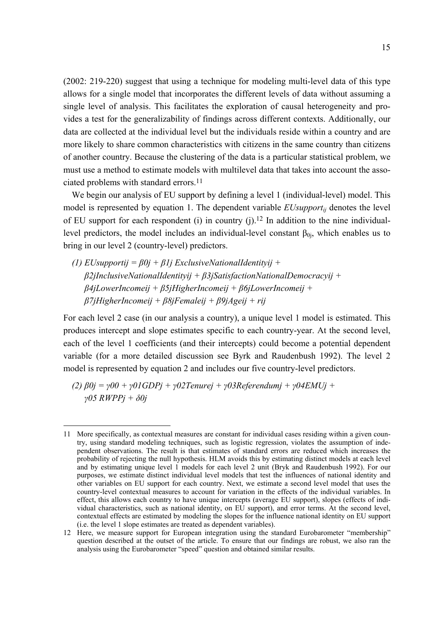(2002: 219-220) suggest that using a technique for modeling multi-level data of this type allows for a single model that incorporates the different levels of data without assuming a single level of analysis. This facilitates the exploration of causal heterogeneity and provides a test for the generalizability of findings across different contexts. Additionally, our data are collected at the individual level but the individuals reside within a country and are more likely to share common characteristics with citizens in the same country than citizens of another country. Because the clustering of the data is a particular statistical problem, we must use a method to estimate models with multilevel data that takes into account the associated problems with standard errors[.11](#page-18-0)

We begin our analysis of EU support by defining a level 1 (individual-level) model. This model is represented by equation 1. The dependent variable *EUsupportij* denotes the level of EU support for each respondent (i) in country (j)[.12](#page-18-1) In addition to the nine individuallevel predictors, the model includes an individual-level constant  $β<sub>0j</sub>$ , which enables us to bring in our level 2 (country-level) predictors.

*(1) EUsupportij = β0j + β1j ExclusiveNationalIdentityij + β2jInclusiveNationalIdentityij + β3jSatisfactionNationalDemocracyij + β4jLowerIncomeij + β5jHigherIncomeij + β6jLowerIncomeij + β7jHigherIncomeij + β8jFemaleij + β9jAgeij + rij* 

For each level 2 case (in our analysis a country), a unique level 1 model is estimated. This produces intercept and slope estimates specific to each country-year. At the second level, each of the level 1 coefficients (and their intercepts) could become a potential dependent variable (for a more detailed discussion see Byrk and Raudenbush 1992). The level 2 model is represented by equation 2 and includes our five country-level predictors.

*(2) β0j = γ00 + γ01GDPj + γ02Tenurej + γ03Referendumj + γ04EMUj + γ05 RWPPj + δ0j* 

<span id="page-18-0"></span><sup>11</sup> More specifically, as contextual measures are constant for individual cases residing within a given country, using standard modeling techniques, such as logistic regression, violates the assumption of independent observations. The result is that estimates of standard errors are reduced which increases the probability of rejecting the null hypothesis. HLM avoids this by estimating distinct models at each level and by estimating unique level 1 models for each level 2 unit (Bryk and Raudenbush 1992). For our purposes, we estimate distinct individual level models that test the influences of national identity and other variables on EU support for each country. Next, we estimate a second level model that uses the country-level contextual measures to account for variation in the effects of the individual variables. In effect, this allows each country to have unique intercepts (average EU support), slopes (effects of individual characteristics, such as national identity, on EU support), and error terms. At the second level, contextual effects are estimated by modeling the slopes for the influence national identity on EU support (i.e. the level 1 slope estimates are treated as dependent variables).

<span id="page-18-1"></span><sup>12</sup> Here, we measure support for European integration using the standard Eurobarometer "membership" question described at the outset of the article. To ensure that our findings are robust, we also ran the analysis using the Eurobarometer "speed" question and obtained similar results.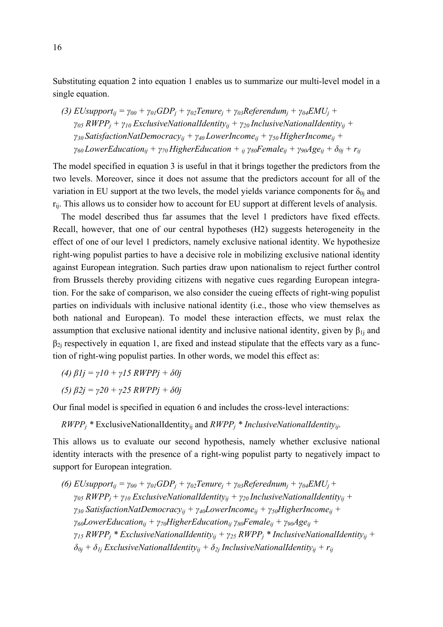Substituting equation 2 into equation 1 enables us to summarize our multi-level model in a single equation.

*(3) EUsupport<sub>ij</sub>* =  $\gamma_{00} + \gamma_{01}GDP_i + \gamma_{02}Tenure_i + \gamma_{03}Referendum_i + \gamma_{04}EMU_i + \gamma_{05}Fj$ *γ05 RWPPj + γ10 ExclusiveNationalIdentityij + γ20 InclusiveNationalIdentityij + γ30 SatisfactionNatDemocracyij + γ40 LowerIncomeij + γ50 HigherIncomeij + γ*<sup>*60*</sup> LowerEducation<sub>ij</sub> + *γ*<sub>70</sub> HigherEducation + <sub>ij</sub> γ<sup>*80*</sup> Female<sub>ij</sub> + *γ*<sup>*90*</sup> Age<sub>ij</sub> +  $\delta_{0j}$  +  $r_{ij}$ 

The model specified in equation 3 is useful in that it brings together the predictors from the two levels. Moreover, since it does not assume that the predictors account for all of the variation in EU support at the two levels, the model yields variance components for  $\delta_{0i}$  and  $r_{ii}$ . This allows us to consider how to account for EU support at different levels of analysis.

The model described thus far assumes that the level 1 predictors have fixed effects. Recall, however, that one of our central hypotheses (H2) suggests heterogeneity in the effect of one of our level 1 predictors, namely exclusive national identity. We hypothesize right-wing populist parties to have a decisive role in mobilizing exclusive national identity against European integration. Such parties draw upon nationalism to reject further control from Brussels thereby providing citizens with negative cues regarding European integration. For the sake of comparison, we also consider the cueing effects of right-wing populist parties on individuals with inclusive national identity (i.e., those who view themselves as both national and European). To model these interaction effects, we must relax the assumption that exclusive national identity and inclusive national identity, given by  $\beta_{1i}$  and  $\beta_{2i}$  respectively in equation 1, are fixed and instead stipulate that the effects vary as a function of right-wing populist parties. In other words, we model this effect as:

$$
(4) \ \beta Ij = \gamma I0 + \gamma I5 \ RWPPj + \delta 0j
$$

$$
(5) \beta 2j = \gamma 20 + \gamma 25 \ RWPPi + \delta 0j
$$

Our final model is specified in equation 6 and includes the cross-level interactions:

*RWPPj \** ExclusiveNationalIdentityij and *RWPPj \* InclusiveNationalIdentityij*.

This allows us to evaluate our second hypothesis, namely whether exclusive national identity interacts with the presence of a right-wing populist party to negatively impact to support for European integration.

*(6) EUsupport<sub>ij</sub>* =  $\gamma_{00} + \gamma_{01}GDP_i + \gamma_{02}Tenure_i + \gamma_{03}Reference$ Referednum<sub>i</sub> +  $\gamma_{04}EMU_i + \gamma_{05}GDP_i + \gamma_{06}GDP_i$ *γ05 RWPPj + γ10 ExclusiveNationalIdentityij + γ20 InclusiveNationalIdentityij + γ30 SatisfactionNatDemocracyij + γ40LowerIncomeij + γ50HigherIncomeij + γ60LowerEducationij + γ70HigherEducationij γ80Femaleij + γ90Ageij + γ15 RWPPj \* ExclusiveNationalIdentityij + γ25 RWPPj \* InclusiveNationalIdentityij +*   $\delta_{0j} + \delta_{1j}$  ExclusiveNationalIdentity<sub>ij</sub> +  $\delta_{2j}$  InclusiveNationalIdentity<sub>ij</sub> +  $r_{ij}$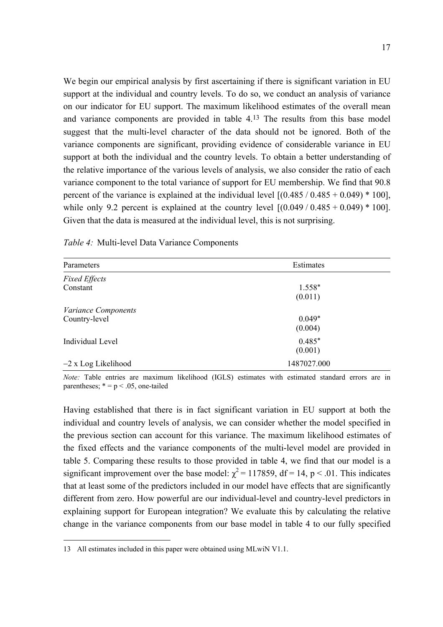We begin our empirical analysis by first ascertaining if there is significant variation in EU support at the individual and country levels. To do so, we conduct an analysis of variance on our indicator for EU support. The maximum likelihood estimates of the overall mean and variance components are provided in table 4.[13](#page-20-0) The results from this base model suggest that the multi-level character of the data should not be ignored. Both of the variance components are significant, providing evidence of considerable variance in EU support at both the individual and the country levels. To obtain a better understanding of the relative importance of the various levels of analysis, we also consider the ratio of each variance component to the total variance of support for EU membership. We find that 90.8 percent of the variance is explained at the individual level  $[(0.485 / 0.485 + 0.049) * 100]$ , while only 9.2 percent is explained at the country level  $[(0.049/0.485 + 0.049) * 100]$ . Given that the data is measured at the individual level, this is not surprising.

| Parameters                 | Estimates   |  |
|----------------------------|-------------|--|
| <b>Fixed Effects</b>       |             |  |
| Constant                   | $1.558*$    |  |
|                            | (0.011)     |  |
| Variance Components        |             |  |
| Country-level              | $0.049*$    |  |
|                            | (0.004)     |  |
| Individual Level           | $0.485*$    |  |
|                            | (0.001)     |  |
| $-2 \times$ Log Likelihood | 1487027.000 |  |
|                            |             |  |

*Table 4:* Multi-level Data Variance Components

*Note:* Table entries are maximum likelihood (IGLS) estimates with estimated standard errors are in parentheses;  $* = p < .05$ , one-tailed

Having established that there is in fact significant variation in EU support at both the individual and country levels of analysis, we can consider whether the model specified in the previous section can account for this variance. The maximum likelihood estimates of the fixed effects and the variance components of the multi-level model are provided in table 5. Comparing these results to those provided in table 4, we find that our model is a significant improvement over the base model:  $\chi^2$  = 117859, df = 14, p < .01. This indicates that at least some of the predictors included in our model have effects that are significantly different from zero. How powerful are our individual-level and country-level predictors in explaining support for European integration? We evaluate this by calculating the relative change in the variance components from our base model in table 4 to our fully specified

<span id="page-20-0"></span><sup>13</sup> All estimates included in this paper were obtained using MLwiN V1.1.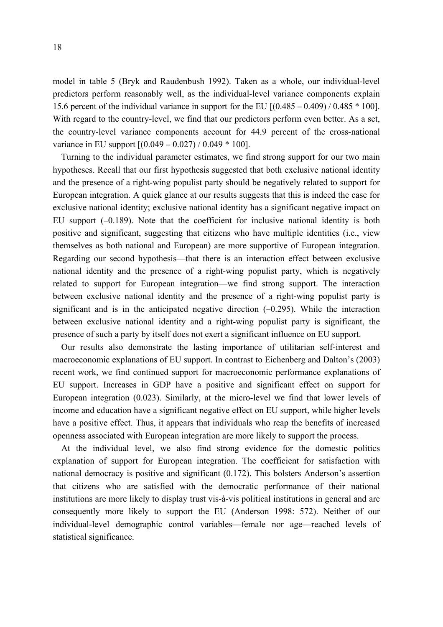model in table 5 (Bryk and Raudenbush 1992). Taken as a whole, our individual-level predictors perform reasonably well, as the individual-level variance components explain 15.6 percent of the individual variance in support for the EU [(0.485 − 0.409) / 0.485 \* 100]. With regard to the country-level, we find that our predictors perform even better. As a set, the country-level variance components account for 44.9 percent of the cross-national variance in EU support [(0.049 − 0.027) / 0.049 \* 100].

Turning to the individual parameter estimates, we find strong support for our two main hypotheses. Recall that our first hypothesis suggested that both exclusive national identity and the presence of a right-wing populist party should be negatively related to support for European integration. A quick glance at our results suggests that this is indeed the case for exclusive national identity; exclusive national identity has a significant negative impact on EU support (−0.189). Note that the coefficient for inclusive national identity is both positive and significant, suggesting that citizens who have multiple identities (i.e., view themselves as both national and European) are more supportive of European integration. Regarding our second hypothesis—that there is an interaction effect between exclusive national identity and the presence of a right-wing populist party, which is negatively related to support for European integration—we find strong support. The interaction between exclusive national identity and the presence of a right-wing populist party is significant and is in the anticipated negative direction (−0.295). While the interaction between exclusive national identity and a right-wing populist party is significant, the presence of such a party by itself does not exert a significant influence on EU support.

Our results also demonstrate the lasting importance of utilitarian self-interest and macroeconomic explanations of EU support. In contrast to Eichenberg and Dalton's (2003) recent work, we find continued support for macroeconomic performance explanations of EU support. Increases in GDP have a positive and significant effect on support for European integration (0.023). Similarly, at the micro-level we find that lower levels of income and education have a significant negative effect on EU support, while higher levels have a positive effect. Thus, it appears that individuals who reap the benefits of increased openness associated with European integration are more likely to support the process.

At the individual level, we also find strong evidence for the domestic politics explanation of support for European integration. The coefficient for satisfaction with national democracy is positive and significant (0.172). This bolsters Anderson's assertion that citizens who are satisfied with the democratic performance of their national institutions are more likely to display trust vis-à-vis political institutions in general and are consequently more likely to support the EU (Anderson 1998: 572). Neither of our individual-level demographic control variables—female nor age—reached levels of statistical significance.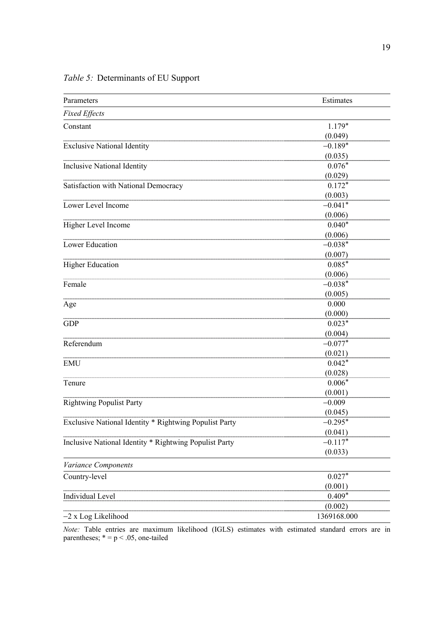*Table 5:* Determinants of EU Support

| Parameters                                             | Estimates   |
|--------------------------------------------------------|-------------|
| <b>Fixed Effects</b>                                   |             |
| Constant                                               | $1.179*$    |
|                                                        | (0.049)     |
| <b>Exclusive National Identity</b>                     | $-0.189*$   |
|                                                        | (0.035)     |
| <b>Inclusive National Identity</b>                     | $0.076*$    |
|                                                        | (0.029)     |
| Satisfaction with National Democracy                   | $0.172*$    |
|                                                        | (0.003)     |
| Lower Level Income                                     | $-0.041*$   |
|                                                        | (0.006)     |
| Higher Level Income                                    | $0.040*$    |
|                                                        | (0.006)     |
| Lower Education                                        | $-0.038*$   |
|                                                        | (0.007)     |
| <b>Higher Education</b>                                | $0.085*$    |
|                                                        | (0.006)     |
| Female                                                 | $-0.038*$   |
|                                                        | (0.005)     |
| Age                                                    | 0.000       |
|                                                        | (0.000)     |
| <b>GDP</b>                                             | $0.023*$    |
|                                                        | (0.004)     |
| Referendum                                             | $-0.077*$   |
|                                                        | (0.021)     |
| <b>EMU</b>                                             | $0.042*$    |
|                                                        | (0.028)     |
| Tenure                                                 | $0.006*$    |
|                                                        | (0.001)     |
| <b>Rightwing Populist Party</b>                        | $-0.009$    |
|                                                        | (0.045)     |
| Exclusive National Identity * Rightwing Populist Party | $-0.295*$   |
|                                                        | (0.041)     |
| Inclusive National Identity * Rightwing Populist Party | $-0.117*$   |
|                                                        | (0.033)     |
| Variance Components                                    |             |
| Country-level                                          | $0.027*$    |
|                                                        | (0.001)     |
| Individual Level                                       | $0.409*$    |
|                                                        | (0.002)     |
| -2 x Log Likelihood                                    | 1369168.000 |

*Note:* Table entries are maximum likelihood (IGLS) estimates with estimated standard errors are in parentheses;  $* = p < .05$ , one-tailed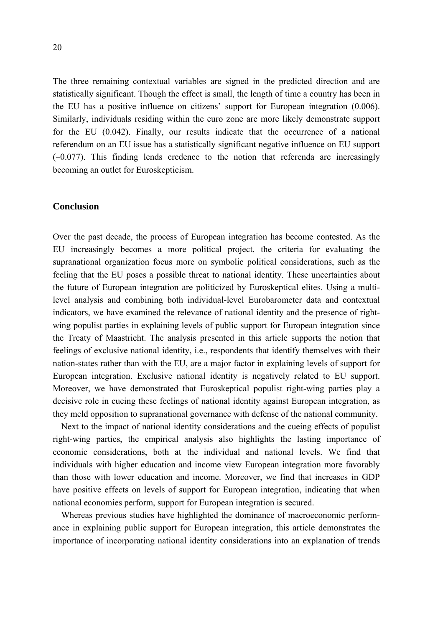The three remaining contextual variables are signed in the predicted direction and are statistically significant. Though the effect is small, the length of time a country has been in the EU has a positive influence on citizens' support for European integration (0.006). Similarly, individuals residing within the euro zone are more likely demonstrate support for the EU (0.042). Finally, our results indicate that the occurrence of a national referendum on an EU issue has a statistically significant negative influence on EU support (−0.077). This finding lends credence to the notion that referenda are increasingly becoming an outlet for Euroskepticism.

### **Conclusion**

Over the past decade, the process of European integration has become contested. As the EU increasingly becomes a more political project, the criteria for evaluating the supranational organization focus more on symbolic political considerations, such as the feeling that the EU poses a possible threat to national identity. These uncertainties about the future of European integration are politicized by Euroskeptical elites. Using a multilevel analysis and combining both individual-level Eurobarometer data and contextual indicators, we have examined the relevance of national identity and the presence of rightwing populist parties in explaining levels of public support for European integration since the Treaty of Maastricht. The analysis presented in this article supports the notion that feelings of exclusive national identity, i.e., respondents that identify themselves with their nation-states rather than with the EU, are a major factor in explaining levels of support for European integration. Exclusive national identity is negatively related to EU support. Moreover, we have demonstrated that Euroskeptical populist right-wing parties play a decisive role in cueing these feelings of national identity against European integration, as they meld opposition to supranational governance with defense of the national community.

Next to the impact of national identity considerations and the cueing effects of populist right-wing parties, the empirical analysis also highlights the lasting importance of economic considerations, both at the individual and national levels. We find that individuals with higher education and income view European integration more favorably than those with lower education and income. Moreover, we find that increases in GDP have positive effects on levels of support for European integration, indicating that when national economies perform, support for European integration is secured.

Whereas previous studies have highlighted the dominance of macroeconomic performance in explaining public support for European integration, this article demonstrates the importance of incorporating national identity considerations into an explanation of trends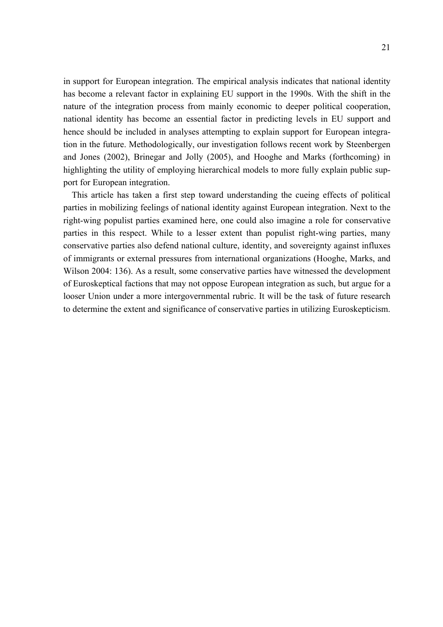in support for European integration. The empirical analysis indicates that national identity has become a relevant factor in explaining EU support in the 1990s. With the shift in the nature of the integration process from mainly economic to deeper political cooperation, national identity has become an essential factor in predicting levels in EU support and hence should be included in analyses attempting to explain support for European integration in the future. Methodologically, our investigation follows recent work by Steenbergen and Jones (2002), Brinegar and Jolly (2005), and Hooghe and Marks (forthcoming) in highlighting the utility of employing hierarchical models to more fully explain public support for European integration.

This article has taken a first step toward understanding the cueing effects of political parties in mobilizing feelings of national identity against European integration. Next to the right-wing populist parties examined here, one could also imagine a role for conservative parties in this respect. While to a lesser extent than populist right-wing parties, many conservative parties also defend national culture, identity, and sovereignty against influxes of immigrants or external pressures from international organizations (Hooghe, Marks, and Wilson 2004: 136). As a result, some conservative parties have witnessed the development of Euroskeptical factions that may not oppose European integration as such, but argue for a looser Union under a more intergovernmental rubric. It will be the task of future research to determine the extent and significance of conservative parties in utilizing Euroskepticism.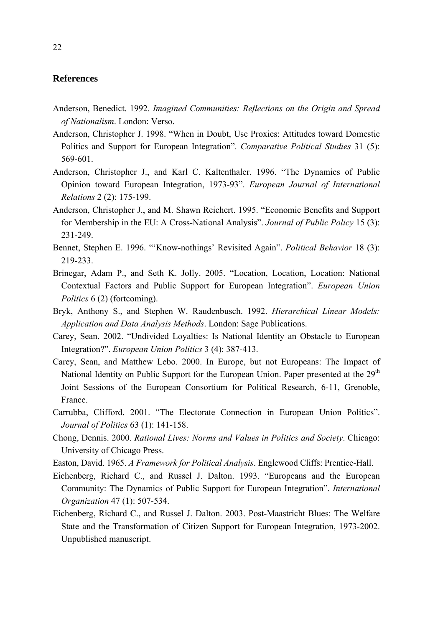### **References**

- Anderson, Benedict. 1992. *Imagined Communities: Reflections on the Origin and Spread of Nationalism*. London: Verso.
- Anderson, Christopher J. 1998. "When in Doubt, Use Proxies: Attitudes toward Domestic Politics and Support for European Integration". *Comparative Political Studies* 31 (5): 569-601.
- Anderson, Christopher J., and Karl C. Kaltenthaler. 1996. "The Dynamics of Public Opinion toward European Integration, 1973-93". *European Journal of International Relations* 2 (2): 175-199.
- Anderson, Christopher J., and M. Shawn Reichert. 1995. "Economic Benefits and Support for Membership in the EU: A Cross-National Analysis". *Journal of Public Policy* 15 (3): 231-249.
- Bennet, Stephen E. 1996. "'Know-nothings' Revisited Again". *Political Behavior* 18 (3): 219-233.
- Brinegar, Adam P., and Seth K. Jolly. 2005. "Location, Location, Location: National Contextual Factors and Public Support for European Integration". *European Union Politics* 6 (2) (fortcoming).
- Bryk, Anthony S., and Stephen W. Raudenbusch. 1992. *Hierarchical Linear Models: Application and Data Analysis Methods*. London: Sage Publications.
- Carey, Sean. 2002. "Undivided Loyalties: Is National Identity an Obstacle to European Integration?". *European Union Politics* 3 (4): 387-413.
- Carey, Sean, and Matthew Lebo. 2000. In Europe, but not Europeans: The Impact of National Identity on Public Support for the European Union. Paper presented at the 29<sup>th</sup> Joint Sessions of the European Consortium for Political Research, 6-11, Grenoble, France.
- Carrubba, Clifford. 2001. "The Electorate Connection in European Union Politics". *Journal of Politics* 63 (1): 141-158.
- Chong, Dennis. 2000. *Rational Lives: Norms and Values in Politics and Society*. Chicago: University of Chicago Press.
- Easton, David. 1965. *A Framework for Political Analysis*. Englewood Cliffs: Prentice-Hall.
- Eichenberg, Richard C., and Russel J. Dalton. 1993. "Europeans and the European Community: The Dynamics of Public Support for European Integration". *International Organization* 47 (1): 507-534.
- Eichenberg, Richard C., and Russel J. Dalton. 2003. Post-Maastricht Blues: The Welfare State and the Transformation of Citizen Support for European Integration, 1973-2002. Unpublished manuscript.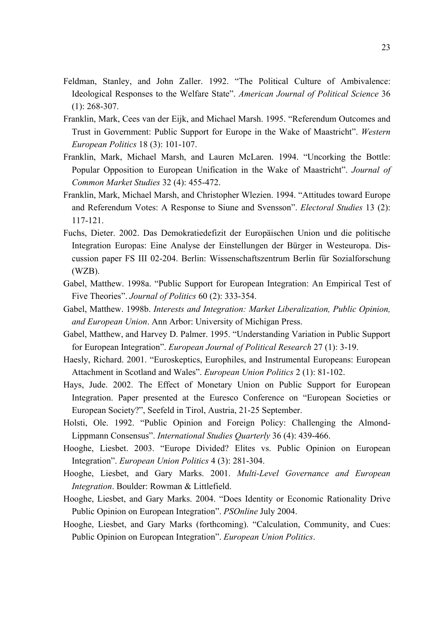- Feldman, Stanley, and John Zaller. 1992. "The Political Culture of Ambivalence: Ideological Responses to the Welfare State". *American Journal of Political Science* 36 (1): 268-307.
- Franklin, Mark, Cees van der Eijk, and Michael Marsh. 1995. "Referendum Outcomes and Trust in Government: Public Support for Europe in the Wake of Maastricht". *Western European Politics* 18 (3): 101-107.
- Franklin, Mark, Michael Marsh, and Lauren McLaren. 1994. "Uncorking the Bottle: Popular Opposition to European Unification in the Wake of Maastricht". *Journal of Common Market Studies* 32 (4): 455-472.
- Franklin, Mark, Michael Marsh, and Christopher Wlezien. 1994. "Attitudes toward Europe and Referendum Votes: A Response to Siune and Svensson". *Electoral Studies* 13 (2): 117-121.
- Fuchs, Dieter. 2002. Das Demokratiedefizit der Europäischen Union und die politische Integration Europas: Eine Analyse der Einstellungen der Bürger in Westeuropa. Discussion paper FS III 02-204. Berlin: Wissenschaftszentrum Berlin für Sozialforschung (WZB).
- Gabel, Matthew. 1998a. "Public Support for European Integration: An Empirical Test of Five Theories". *Journal of Politics* 60 (2): 333-354.
- Gabel, Matthew. 1998b. *Interests and Integration: Market Liberalization, Public Opinion, and European Union*. Ann Arbor: University of Michigan Press.
- Gabel, Matthew, and Harvey D. Palmer. 1995. "Understanding Variation in Public Support for European Integration". *European Journal of Political Research* 27 (1): 3-19.
- Haesly, Richard. 2001. "Euroskeptics, Europhiles, and Instrumental Europeans: European Attachment in Scotland and Wales". *European Union Politics* 2 (1): 81-102.
- Hays, Jude. 2002. The Effect of Monetary Union on Public Support for European Integration. Paper presented at the Euresco Conference on "European Societies or European Society?", Seefeld in Tirol, Austria, 21-25 September.
- Holsti, Ole. 1992. "Public Opinion and Foreign Policy: Challenging the Almond-Lippmann Consensus". *International Studies Quarterly* 36 (4): 439-466.
- Hooghe, Liesbet. 2003. "Europe Divided? Elites vs. Public Opinion on European Integration". *European Union Politics* 4 (3): 281-304.
- Hooghe, Liesbet, and Gary Marks. 2001. *Multi-Level Governance and European Integration*. Boulder: Rowman & Littlefield.
- Hooghe, Liesbet, and Gary Marks. 2004. "Does Identity or Economic Rationality Drive Public Opinion on European Integration". *PSOnline* July 2004.
- Hooghe, Liesbet, and Gary Marks (forthcoming). "Calculation, Community, and Cues: Public Opinion on European Integration". *European Union Politics*.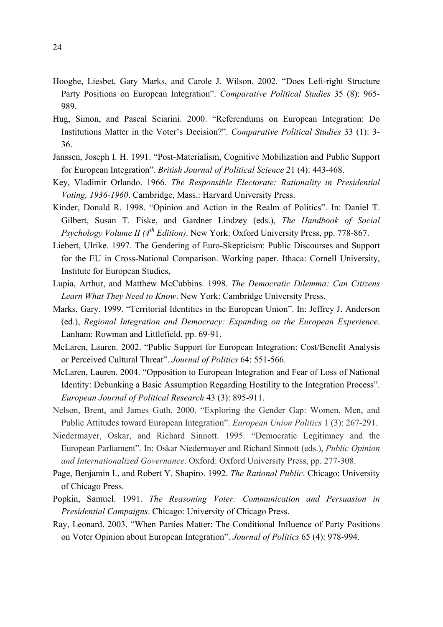- Hooghe, Liesbet, Gary Marks, and Carole J. Wilson. 2002. "Does Left-right Structure Party Positions on European Integration". *Comparative Political Studies* 35 (8): 965- 989.
- Hug, Simon, and Pascal Sciarini. 2000. "Referendums on European Integration: Do Institutions Matter in the Voter's Decision?". *Comparative Political Studies* 33 (1): 3- 36.
- Janssen, Joseph I. H. 1991. "Post-Materialism, Cognitive Mobilization and Public Support for European Integration". *British Journal of Political Science* 21 (4): 443-468.
- Key, Vladimir Orlando. 1966. *The Responsible Electorate: Rationality in Presidential Voting, 1936-1960*. Cambridge, Mass.: Harvard University Press.
- Kinder, Donald R. 1998. "Opinion and Action in the Realm of Politics". In: Daniel T. Gilbert, Susan T. Fiske, and Gardner Lindzey (eds.), *The Handbook of Social Psychology Volume II (4th Edition)*. New York: Oxford University Press, pp. 778-867.
- Liebert, Ulrike. 1997. The Gendering of Euro-Skepticism: Public Discourses and Support for the EU in Cross-National Comparison. Working paper. Ithaca: Cornell University, Institute for European Studies,
- Lupia, Arthur, and Matthew McCubbins. 1998. *The Democratic Dilemma: Can Citizens Learn What They Need to Know*. New York: Cambridge University Press.
- Marks, Gary. 1999. "Territorial Identities in the European Union". In: Jeffrey J. Anderson (ed.), *Regional Integration and Democracy: Expanding on the European Experience*. Lanham: Rowman and Littlefield, pp. 69-91.
- McLaren, Lauren. 2002. "Public Support for European Integration: Cost/Benefit Analysis or Perceived Cultural Threat". *Journal of Politics* 64: 551-566.
- McLaren, Lauren. 2004. "Opposition to European Integration and Fear of Loss of National Identity: Debunking a Basic Assumption Regarding Hostility to the Integration Process". *European Journal of Political Research* 43 (3): 895-911.
- Nelson, Brent, and James Guth. 2000. "Exploring the Gender Gap: Women, Men, and Public Attitudes toward European Integration". *European Union Politics* 1 (3): 267-291.
- Niedermayer, Oskar, and Richard Sinnott. 1995. "Democratic Legitimacy and the European Parliament". In: Oskar Niedermayer and Richard Sinnott (eds.), *Public Opinion and Internationalized Governance*. Oxford: Oxford University Press, pp. 277-308.
- Page, Benjamin I., and Robert Y. Shapiro. 1992. *The Rational Public*. Chicago: University of Chicago Press.
- Popkin, Samuel. 1991. *The Reasoning Voter: Communication and Persuasion in Presidential Campaigns*. Chicago: University of Chicago Press.
- Ray, Leonard. 2003. "When Parties Matter: The Conditional Influence of Party Positions on Voter Opinion about European Integration". *Journal of Politics* 65 (4): 978-994.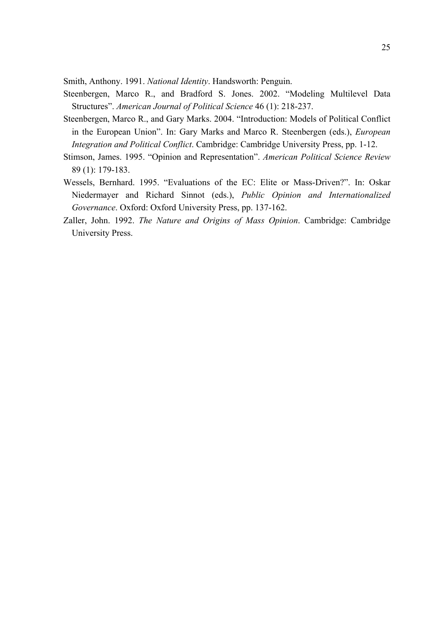Smith, Anthony. 1991. *National Identity*. Handsworth: Penguin.

- Steenbergen, Marco R., and Bradford S. Jones. 2002. "Modeling Multilevel Data Structures". *American Journal of Political Science* 46 (1): 218-237.
- Steenbergen, Marco R., and Gary Marks. 2004. "Introduction: Models of Political Conflict in the European Union". In: Gary Marks and Marco R. Steenbergen (eds.), *European Integration and Political Conflict*. Cambridge: Cambridge University Press, pp. 1-12.
- Stimson, James. 1995. "Opinion and Representation". *American Political Science Review* 89 (1): 179-183.
- Wessels, Bernhard. 1995. "Evaluations of the EC: Elite or Mass-Driven?". In: Oskar Niedermayer and Richard Sinnot (eds.), *Public Opinion and Internationalized Governance*. Oxford: Oxford University Press, pp. 137-162.
- Zaller, John. 1992. *The Nature and Origins of Mass Opinion*. Cambridge: Cambridge University Press.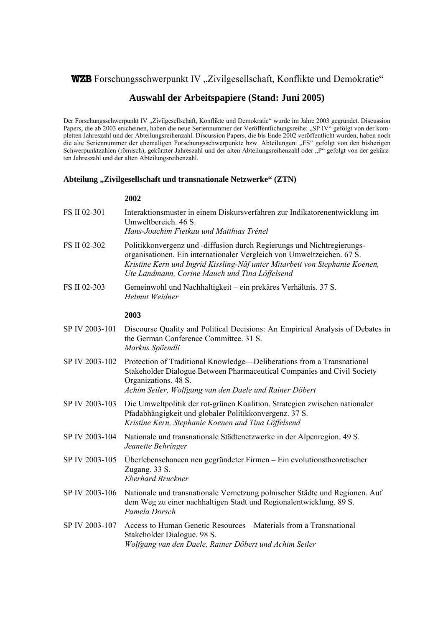# WZB Forschungsschwerpunkt IV "Zivilgesellschaft, Konflikte und Demokratie"

# **Auswahl der Arbeitspapiere (Stand: Juni 2005)**

Der Forschungsschwerpunkt IV "Zivilgesellschaft, Konflikte und Demokratie" wurde im Jahre 2003 gegründet. Discussion Papers, die ab 2003 erscheinen, haben die neue Seriennummer der Veröffentlichungsreihe: "SP IV" gefolgt von der kompletten Jahreszahl und der Abteilungsreihenzahl. Discussion Papers, die bis Ende 2002 veröffentlicht wurden, haben noch die alte Seriennummer der ehemaligen Forschungsschwerpunkte bzw. Abteilungen: "FS" gefolgt von den bisherigen Schwerpunktzahlen (römisch), gekürzter Jahreszahl und der alten Abteilungsreihenzahl oder "P" gefolgt von der gekürzten Jahreszahl und der alten Abteilungsreihenzahl.

#### Abteilung "Zivilgesellschaft und transnationale Netzwerke" (ZTN)

#### **2002**

| FS II 02-301   | Interaktionsmuster in einem Diskursverfahren zur Indikatorenentwicklung im<br>Umweltbereich. 46 S.<br>Hans-Joachim Fietkau und Matthias Trénel                                                                                                                                    |
|----------------|-----------------------------------------------------------------------------------------------------------------------------------------------------------------------------------------------------------------------------------------------------------------------------------|
| FS II 02-302   | Politikkonvergenz und -diffusion durch Regierungs und Nichtregierungs-<br>organisationen. Ein internationaler Vergleich von Umweltzeichen. 67 S.<br>Kristine Kern und Ingrid Kissling-Näf unter Mitarbeit von Stephanie Koenen,<br>Ute Landmann, Corine Mauch und Tina Löffelsend |
| FS II 02-303   | Gemeinwohl und Nachhaltigkeit – ein prekäres Verhältnis. 37 S.<br>Helmut Weidner                                                                                                                                                                                                  |
|                | 2003                                                                                                                                                                                                                                                                              |
| SP IV 2003-101 | Discourse Quality and Political Decisions: An Empirical Analysis of Debates in<br>the German Conference Committee. 31 S.<br>Markus Spörndli                                                                                                                                       |
| SP IV 2003-102 | Protection of Traditional Knowledge—Deliberations from a Transnational<br>Stakeholder Dialogue Between Pharmaceutical Companies and Civil Society<br>Organizations. 48 S.<br>Achim Seiler, Wolfgang van den Daele und Rainer Döbert                                               |
| SP IV 2003-103 | Die Umweltpolitik der rot-grünen Koalition. Strategien zwischen nationaler<br>Pfadabhängigkeit und globaler Politikkonvergenz. 37 S.<br>Kristine Kern, Stephanie Koenen und Tina Löffelsend                                                                                       |
| SP IV 2003-104 | Nationale und transnationale Städtenetzwerke in der Alpenregion. 49 S.<br>Jeanette Behringer                                                                                                                                                                                      |
| SP IV 2003-105 | Überlebenschancen neu gegründeter Firmen – Ein evolutionstheoretischer<br>Zugang. 33 S.<br><b>Eberhard Bruckner</b>                                                                                                                                                               |
| SP IV 2003-106 | Nationale und transnationale Vernetzung polnischer Städte und Regionen. Auf<br>dem Weg zu einer nachhaltigen Stadt und Regionalentwicklung. 89 S.<br>Pamela Dorsch                                                                                                                |
| SP IV 2003-107 | Access to Human Genetic Resources—Materials from a Transnational<br>Stakeholder Dialogue. 98 S.<br>Wolfgang van den Daele, Rainer Döbert und Achim Seiler                                                                                                                         |
|                |                                                                                                                                                                                                                                                                                   |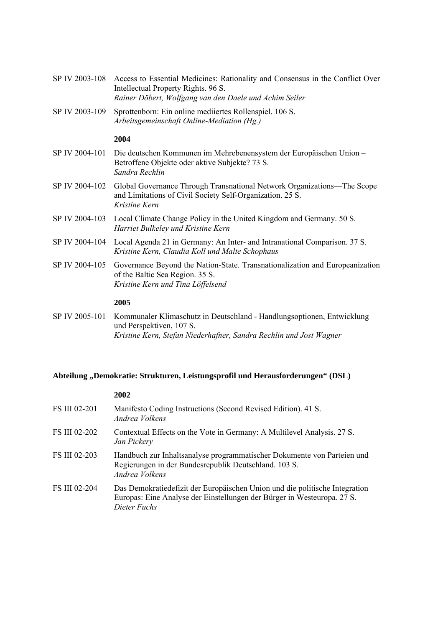| SP IV 2003-108 | Access to Essential Medicines: Rationality and Consensus in the Conflict Over<br>Intellectual Property Rights. 96 S.<br>Rainer Döbert, Wolfgang van den Daele und Achim Seiler |
|----------------|--------------------------------------------------------------------------------------------------------------------------------------------------------------------------------|
| SP IV 2003-109 | Sprottenborn: Ein online mediiertes Rollenspiel. 106 S.<br>Arbeitsgemeinschaft Online-Mediation (Hg.)                                                                          |
|                | 2004                                                                                                                                                                           |
| SP IV 2004-101 | Die deutschen Kommunen im Mehrebenensystem der Europäischen Union-<br>Betroffene Objekte oder aktive Subjekte? 73 S.<br>Sandra Rechlin                                         |
| SP IV 2004-102 | Global Governance Through Transnational Network Organizations—The Scope<br>and Limitations of Civil Society Self-Organization. 25 S.<br>Kristine Kern                          |
| SP IV 2004-103 | Local Climate Change Policy in the United Kingdom and Germany. 50 S.<br>Harriet Bulkeley und Kristine Kern                                                                     |
| SP IV 2004-104 | Local Agenda 21 in Germany: An Inter- and Intranational Comparison. 37 S.<br>Kristine Kern, Claudia Koll und Malte Schophaus                                                   |
| SP IV 2004-105 | Governance Beyond the Nation-State. Transnationalization and Europeanization<br>of the Baltic Sea Region. 35 S.<br>Kristine Kern und Tina Löffelsend                           |
|                | 2005                                                                                                                                                                           |
| SP IV 2005-101 | Kommunaler Klimaschutz in Deutschland - Handlungsoptionen, Entwicklung<br>und Perspektiven, 107 S.                                                                             |

# *Kristine Kern, Stefan Niederhafner, Sandra Rechlin und Jost Wagner*

# **Abteilung "Demokratie: Strukturen, Leistungsprofil und Herausforderungen" (DSL)**

|                      | 2002                                                                                                                                                                   |
|----------------------|------------------------------------------------------------------------------------------------------------------------------------------------------------------------|
| FS III 02-201        | Manifesto Coding Instructions (Second Revised Edition). 41 S.<br>Andrea Volkens                                                                                        |
| <b>FS III 02-202</b> | Contextual Effects on the Vote in Germany: A Multilevel Analysis. 27 S.<br>Jan Pickery                                                                                 |
| <b>FS III 02-203</b> | Handbuch zur Inhaltsanalyse programmatischer Dokumente von Parteien und<br>Regierungen in der Bundesrepublik Deutschland. 103 S.<br>Andrea Volkens                     |
| <b>FS III 02-204</b> | Das Demokratiedefizit der Europäischen Union und die politische Integration<br>Europas: Eine Analyse der Einstellungen der Bürger in Westeuropa. 27 S.<br>Dieter Fuchs |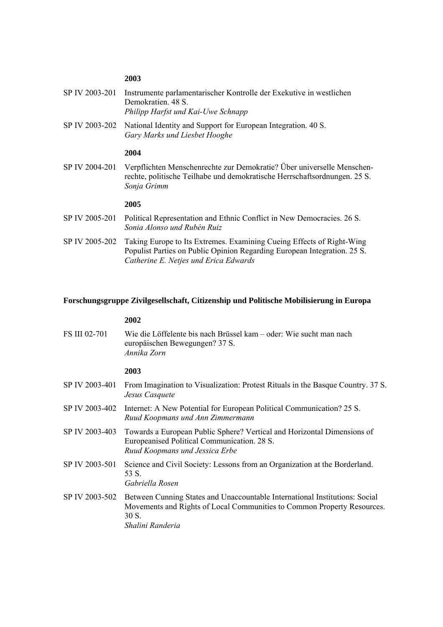#### **2003**

| SP IV 2003-201 Instrumente parlamentarischer Kontrolle der Exekutive in westlichen |
|------------------------------------------------------------------------------------|
| Demokratien. 48 S.                                                                 |
| Philipp Harfst und Kai-Uwe Schnapp                                                 |

SP IV 2003-202 National Identity and Support for European Integration. 40 S. *Gary Marks und Liesbet Hooghe* 

#### **2004**

SP IV 2004-201 Verpflichten Menschenrechte zur Demokratie? Über universelle Menschenrechte, politische Teilhabe und demokratische Herrschaftsordnungen. 25 S.  *Sonja Grimm* 

#### **2005**

- SP IV 2005-201 Political Representation and Ethnic Conflict in New Democracies. 26 S. *Sonia Alonso und Rubén Ruiz*
- SP IV 2005-202 Taking Europe to Its Extremes. Examining Cueing Effects of Right-Wing Populist Parties on Public Opinion Regarding European Integration. 25 S. *Catherine E. Netjes und Erica Edwards*

#### **Forschungsgruppe Zivilgesellschaft, Citizenship und Politische Mobilisierung in Europa**

#### **2002**

FS III 02-701 Wie die Löffelente bis nach Brüssel kam – oder: Wie sucht man nach europäischen Bewegungen? 37 S. *Annika Zorn* 

#### **2003**

- SP IV 2003-401 From Imagination to Visualization: Protest Rituals in the Basque Country. 37 S. *Jesus Casquete* SP IV 2003-402 Internet: A New Potential for European Political Communication? 25 S. *Ruud Koopmans und Ann Zimmermann*  SP IV 2003-403 Towards a European Public Sphere? Vertical and Horizontal Dimensions of Europeanised Political Communication. 28 S. *Ruud Koopmans und Jessica Erbe*  SP IV 2003-501 Science and Civil Society: Lessons from an Organization at the Borderland. 53 S.  *Gabriella Rosen*  SP IV 2003-502 Between Cunning States and Unaccountable International Institutions: Social
- Movements and Rights of Local Communities to Common Property Resources. 30 S.  *Shalini Randeria*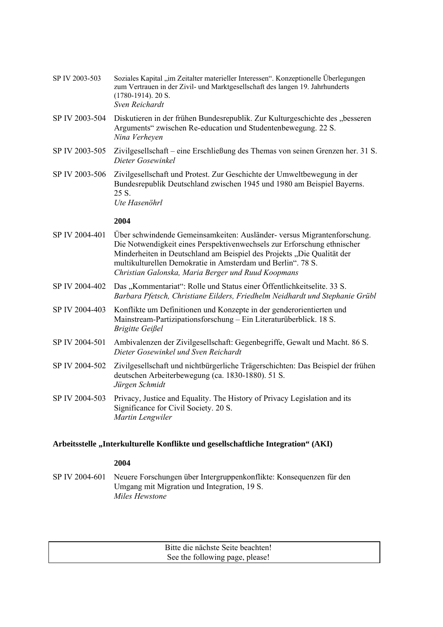| SP IV 2003-503 | Soziales Kapital "im Zeitalter materieller Interessen". Konzeptionelle Überlegungen<br>zum Vertrauen in der Zivil- und Marktgesellschaft des langen 19. Jahrhunderts<br>$(1780-1914)$ . 20 S.<br>Sven Reichardt                                                                                                                                   |
|----------------|---------------------------------------------------------------------------------------------------------------------------------------------------------------------------------------------------------------------------------------------------------------------------------------------------------------------------------------------------|
| SP IV 2003-504 | Diskutieren in der frühen Bundesrepublik. Zur Kulturgeschichte des "besseren<br>Arguments" zwischen Re-education und Studentenbewegung. 22 S.<br>Nina Verheyen                                                                                                                                                                                    |
| SP IV 2003-505 | Zivilgesellschaft – eine Erschließung des Themas von seinen Grenzen her. 31 S.<br>Dieter Gosewinkel                                                                                                                                                                                                                                               |
| SP IV 2003-506 | Zivilgesellschaft und Protest. Zur Geschichte der Umweltbewegung in der<br>Bundesrepublik Deutschland zwischen 1945 und 1980 am Beispiel Bayerns.<br>25 S.<br>Ute Hasenöhrl                                                                                                                                                                       |
|                | 2004                                                                                                                                                                                                                                                                                                                                              |
| SP IV 2004-401 | Über schwindende Gemeinsamkeiten: Ausländer- versus Migrantenforschung.<br>Die Notwendigkeit eines Perspektivenwechsels zur Erforschung ethnischer<br>Minderheiten in Deutschland am Beispiel des Projekts "Die Qualität der<br>multikulturellen Demokratie in Amsterdam und Berlin". 78 S.<br>Christian Galonska, Maria Berger und Ruud Koopmans |
| SP IV 2004-402 | Das "Kommentariat": Rolle und Status einer Öffentlichkeitselite. 33 S.<br>Barbara Pfetsch, Christiane Eilders, Friedhelm Neidhardt und Stephanie Grübl                                                                                                                                                                                            |
| SP IV 2004-403 | Konflikte um Definitionen und Konzepte in der genderorientierten und<br>Mainstream-Partizipationsforschung - Ein Literaturüberblick. 18 S.<br><b>Brigitte Geißel</b>                                                                                                                                                                              |
| SP IV 2004-501 | Ambivalenzen der Zivilgesellschaft: Gegenbegriffe, Gewalt und Macht. 86 S.<br>Dieter Gosewinkel und Sven Reichardt                                                                                                                                                                                                                                |
| SP IV 2004-502 | Zivilgesellschaft und nichtbürgerliche Trägerschichten: Das Beispiel der frühen<br>deutschen Arbeiterbewegung (ca. 1830-1880). 51 S.<br>Jürgen Schmidt                                                                                                                                                                                            |
| SP IV 2004-503 | Privacy, Justice and Equality. The History of Privacy Legislation and its<br>Significance for Civil Society. 20 S.<br>Martin Lengwiler                                                                                                                                                                                                            |

### Arbeitsstelle "Interkulturelle Konflikte und gesellschaftliche Integration" (AKI)

 **2004** 

SP IV 2004-601 Neuere Forschungen über Intergruppenkonflikte: Konsequenzen für den Umgang mit Migration und Integration, 19 S.  *Miles Hewstone* 

> Bitte die nächste Seite beachten! See the following page, please!